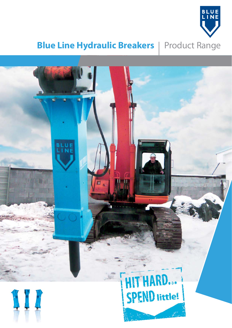

## **Blue Line Hydraulic Breakers** | Product Range

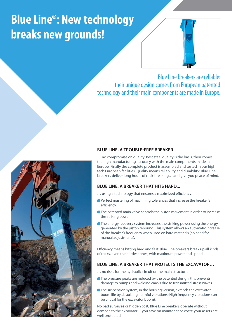# **Blue Line®: New technology breaks new grounds!**



Blue Line breakers are reliable: their unique design comes from European patented technology and their main components are made in Europe.



#### **BLUE LINE, A TROUBLE-FREE BREAKER…**

… no compromise on quality. Best steel quality is the basis, then comes the high manufacturing accuracy with the main components made in Europe. Finally the complete product is assembled and tested in our high tech European facilities. Quality means reliability and durability: Blue Line breakers deliver long hours of rock-breaking… and give you peace of mind.

#### **BLUE LINE, A BREAKER THAT HITS HARD...**

- ... using a technology that ensures a maximized efficiency:
- Perfect mastering of machining tolerances that increase the breaker's efficiency.
- **The patented main valve controls the piston movement in order to increase** the striking power.
- The energy recovery system increases the striking power using the energy generated by the piston rebound. This system allows an automatic increase of the breaker's frequency when used on hard materials (no need for manual adjustments).

Efficiency means hitting hard and fast: Blue Line breakers break up all kinds of rocks, even the hardest ones, with maximum power and speed.

#### **BLUE LINE, A BREAKER THAT PROTECTS THE EXCAVATOR…**

- … no risks for the hydraulic circuit or the main structure.
- The pressure peaks are reduced by the patented design, this prevents damage to pumps and welding cracks due to transmitted stress waves…
- The suspension system, in the housing version, extends the excavator boom life by absorbing harmful vibrations (High frequency vibrations can be critical for the excavator boom).

No bad surprises or hidden cost, Blue Line breakers operate without damage to the excavator… you save on maintenance costs: your assets are well protected.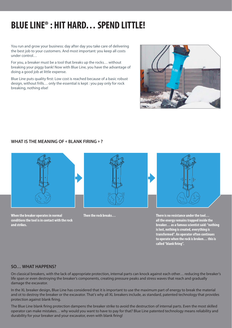### **BLUE LINE® : HIT HARD… SPEND LITTLE!**

You run and grow your business: day after day you take care of delivering the best job to your customers. And most important: you keep all costs under control…

For you, a breaker must be a tool that breaks up the rocks… without breaking your piggy bank! Now with Blue Line, you have the advantage of doing a good job at little expense.

Blue Line puts quality first: Low cost is reached because of a basic robust design, without frills… only the essential is kept : you pay only for rock breaking, nothing else!

#### **WHAT IS THE MEANING OF « BLANK FIRING » ?**



**When the breaker operates in normal conditions the tool is in contact with the rock and strikes.**



**Then the rock breaks… There is no resistance under the tool… all the energy remains trapped inside the breaker… as a famous scientist said: "nothing is lost, nothing is created, everything is transformed". An operator often continues to operate when the rock is broken… this is**  called "blank firing".

#### **SO… WHAT HAPPENS?**

On classical breakers, with the lack of appropriate protection, internal parts can knock against each other… reducing the breaker's life span or even destroying the breaker's components, creating pressure peaks and stress waves that reach and gradually damage the excavator.

In the XL breaker design, Blue Line has considered that it is important to use the maximum part of energy to break the material and ot to destroy the breaker or the excavator. That's why all XL breakers include, as standard, patented technology that provides protection against blank firing.

The Blue Line blank firing protection dampens the breaker strike to avoid the destruction of internal parts. Even the most skilled operator can make mistakes… why would you want to have to pay for that? Blue Line patented technology means reliability and durability for your breaker and your excavator, even with blank firing!